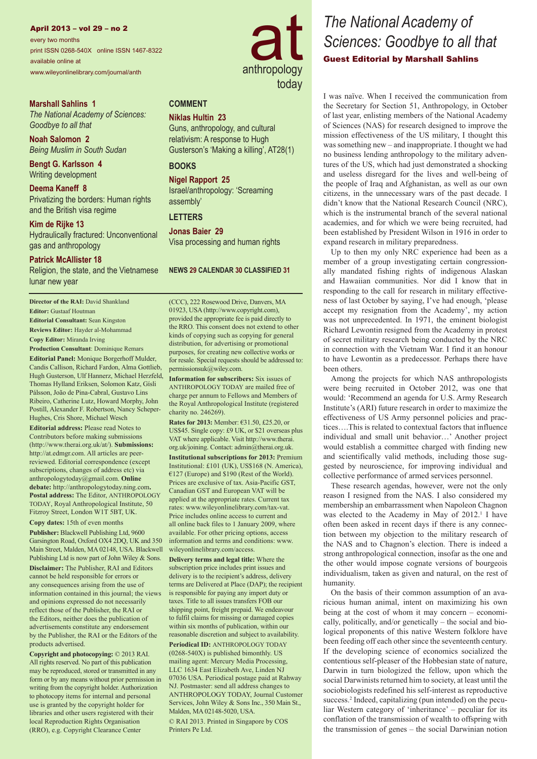#### April 2013 – vol 29 – no 2

every two months print ISSN 0268-540X online ISSN 1467-8322 available online at www.wileyonlinelibrary.com/journal/anth

## **Marshall Sahlins 1**

*The National Academy of Sciences: Goodbye to all that*

**Noah Salomon 2** *Being Muslim in South Sudan*

**Bengt G. Karlsson 4** Writing development

**Deema Kaneff 8** Privatizing the borders: Human rights and the British visa regime

**Kim de Rijke 13** Hydraulically fractured: Unconventional gas and anthropology

### **Patrick McAllister 18**

Religion, the state, and the Vietnamese lunar new year

**Director of the RAI:** David Shankland **Editor:** Gustaaf Houtman **Editorial Consultant:** Sean Kingston **Reviews Editor:** Hayder al-Mohammad

**Copy Editor:** Miranda Irving

**Production Consultant**: Dominique Remars

**Editorial Panel:** Monique Borgerhoff Mulder, Candis Callison, Richard Fardon, Alma Gottlieb, Hugh Gusterson, Ulf Hannerz, Michael Herzfeld, Thomas Hylland Eriksen, Solomon Katz, Gísli Pálsson, João de Pina-Cabral, Gustavo Lins Ribeiro, Catherine Lutz, Howard Morphy, John Postill, Alexander F. Robertson, Nancy Scheper-Hughes, Cris Shore, Michael Wesch

**Editorial address:** Please read Notes to Contributors before making submissions (http://www.therai.org.uk/at/). **Submissions:** http://at.edmgr.com. All articles are peerreviewed. Editorial correspondence (except subscriptions, changes of address etc) via anthropologytoday@gmail.com. **Online debate:** http://anthropologytoday.ning.com**. Postal address:** The Editor, ANTHROPOLOGY TODAY, Royal Anthropological Institute, 50 Fitzroy Street, London W1T 5BT, UK.

**Copy dates:** 15th of even months

**Publisher:** Blackwell Publishing Ltd, 9600 Garsington Road, Oxford OX4 2DQ, UK and 350 Main Street, Malden, MA 02148, USA. Blackwell Publishing Ltd is now part of John Wiley & Sons. **Disclaimer:** The Publisher, RAI and Editors cannot be held responsible for errors or any consequences arising from the use of information contained in this journal; the views and opinions expressed do not necessarily reflect those of the Publisher, the RAI or the Editors, neither does the publication of advertisements constitute any endorsement by the Publisher, the RAI or the Editors of the products advertised.

**Copyright and photocopying:** © 2013 RAI. All rights reserved. No part of this publication may be reproduced, stored or transmitted in any form or by any means without prior permission in writing from the copyright holder. Authorization to photocopy items for internal and personal use is granted by the copyright holder for libraries and other users registered with their local Reproduction Rights Organisation (RRO), e.g. Copyright Clearance Center



# *The National Academy of Sciences: Goodbye to all that* Guest Editorial by Marshall Sahlins

I was naïve. When I received the communication from the Secretary for Section 51, Anthropology, in October of last year, enlisting members of the National Academy of Sciences (NAS) for research designed to improve the mission effectiveness of the US military, I thought this was something new – and inappropriate. I thought we had no business lending anthropology to the military adventures of the US, which had just demonstrated a shocking and useless disregard for the lives and well-being of the people of Iraq and Afghanistan, as well as our own citizens, in the unnecessary wars of the past decade. I didn't know that the National Research Council (NRC), which is the instrumental branch of the several national academies, and for which we were being recruited, had been established by President Wilson in 1916 in order to expand research in military preparedness.

Up to then my only NRC experience had been as a member of a group investigating certain congressionally mandated fishing rights of indigenous Alaskan and Hawaiian communities. Nor did I know that in responding to the call for research in military effectiveness of last October by saying, I've had enough, 'please accept my resignation from the Academy', my action was not unprecedented. In 1971, the eminent biologist Richard Lewontin resigned from the Academy in protest of secret military research being conducted by the NRC in connection with the Vietnam War. I find it an honour to have Lewontin as a predecessor. Perhaps there have been others.

Among the projects for which NAS anthropologists were being recruited in October 2012, was one that would: 'Recommend an agenda for U.S. Army Research Institute's (ARI) future research in order to maximize the effectiveness of US Army personnel policies and practices….This is related to contextual factors that influence individual and small unit behavior…' Another project would establish a committee charged with finding new and scientifically valid methods, including those suggested by neuroscience, for improving individual and collective performance of armed services personnel.

These research agendas, however, were not the only reason I resigned from the NAS. I also considered my membership an embarrassment when Napoleon Chagnon was elected to the Academy in May of 2012.<sup>1</sup> I have often been asked in recent days if there is any connection between my objection to the military research of the NAS and to Chagnon's election. There is indeed a strong anthropological connection, insofar as the one and the other would impose cognate versions of bourgeois individualism, taken as given and natural, on the rest of humanity.

On the basis of their common assumption of an avaricious human animal, intent on maximizing his own being at the cost of whom it may concern – economically, politically, and/or genetically – the social and biological proponents of this native Western folklore have been feeding off each other since the seventeenth century. If the developing science of economics socialized the contentious self-pleaser of the Hobbesian state of nature, Darwin in turn biologized the fellow, upon which the social Darwinists returned him to society, at least until the sociobiologists redefined his self-interest as reproductive success.<sup>2</sup> Indeed, capitalizing (pun intended) on the peculiar Western category of 'inheritance' – peculiar for its conflation of the transmission of wealth to offspring with the transmission of genes – the social Darwinian notion

Gusterson's 'Making a killing', AT28(1) **BOOKS**

# **Nigel Rapport 25**

Israel/anthropology: 'Screaming assembly'

Guns, anthropology, and cultural relativism: A response to Hugh

# **LETTERS**

**COMMENT Niklas Hultin 23**

**Jonas Baier 29** Visa processing and human rights

#### **NEWS 29 CALENDAR 30 CLASSIFIED 31**

(CCC), 222 Rosewood Drive, Danvers, MA 01923, USA (http://www.copyright.com), provided the appropriate fee is paid directly to the RRO. This consent does not extend to other kinds of copying such as copying for general distribution, for advertising or promotional purposes, for creating new collective works or for resale. Special requests should be addressed to: permissionsuk@wiley.com.

**Information for subscribers:** Six issues of ANTHROPOLOGY TODAY are mailed free of charge per annum to Fellows and Members of the Royal Anthropological Institute (registered charity no. 246269).

**Rates for 2013:** Member: €31.50, £25.20, or US\$45. Single copy: £9 UK, or \$21 overseas plus VAT where applicable. Visit http://www.therai. org.uk/joining. Contact: admin@therai.org.uk.

**Institutional subscriptions for 2013:** Premium Institutional: £101 (UK), US\$168 (N. America), €127 (Europe) and \$190 (Rest of the World). Prices are exclusive of tax. Asia-Pacific GST, Canadian GST and European VAT will be applied at the appropriate rates. Current tax rates: www.wileyonlinelibrary.com/tax-vat. Price includes online access to current and all online back files to 1 January 2009, where available. For other pricing options, access information and terms and conditions: www. wileyonlinelibrary.com/access.

**Delivery terms and legal title:** Where the subscription price includes print issues and delivery is to the recipient's address, delivery terms are Delivered at Place (DAP); the recipient is responsible for paying any import duty or taxes. Title to all issues transfers FOB our shipping point, freight prepaid. We endeavour to fulfil claims for missing or damaged copies within six months of publication, within our reasonable discretion and subject to availability. **Periodical ID:** ANTHROPOLOGY TODAY (0268-540X) is published bimonthly. US mailing agent: Mercury Media Processing, LLC 1634 East Elizabeth Ave, Linden NJ 07036 USA. Periodical postage paid at Rahway NJ. Postmaster: send all address changes to ANTHROPOLOGY TODAY, Journal Customer Services, John Wiley & Sons Inc., 350 Main St., Malden, MA 02148-5020, USA.

© RAI 2013. Printed in Singapore by COS Printers Pe Ltd.